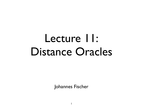## Lecture 11: Distance Oracles

Johannes Fischer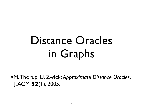# Distance Oracles in Graphs

•M. Thorup, U. Zwick: *Approximate Distance Oracles*. J. ACM **52**(1), 2005.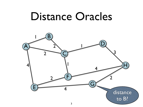### Distance Oracles

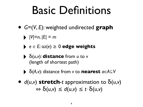## Basic Definitions

- *<sup>G</sup>*=(*V*, *E*): weighted undirected **graph**
	- $\blacktriangleright$   $|V|=n, |E|=m$
	- $\triangleright$   $e \in E: w(e) \geq 0$  **edge weights**
	- $\blacktriangleright$   $\delta(u,v)$ : **distance** from *u* to *v* (length of shortest path)
	- ‣ <sup>δ</sup>(*A*,*v*): distance from *v* to **nearest** *<sup>a</sup>*∈*A*⊆*<sup>V</sup>*
- $d(u,v)$  **stretch**-*t* approximation to  $\delta(u,v)$  $\Leftrightarrow$   $\delta(u,v) \leq d(u,v) \leq t \cdot \delta(u,v)$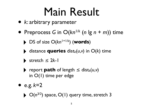## Main Result

- *<sup>k</sup>*: arbitrary parameter
- Preprocess *G* in O(*kn*1/*<sup>k</sup>* (*n* lg *n* + *m*)) time
	- $\triangleright$  DS of size  $O(kn^{1+1/k})$  (**words**)
	- $\blacktriangleright$  distance **queries** dist<sub>k</sub> $(u,v)$  in  $O(k)$  time
	- ‣ stretch ≤ 2*k*-1
	- $\blacktriangleright$  report **path** of length  $\leq$  dist<sub>k</sub>(*u*,*v*) in O(1) time per edge
- e.g. *k*=2
	- ‣ O(*n*3/2) space, O(1) query time, stretch 3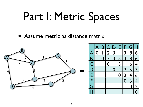## Part I: Metric Spaces

• Assume metric as distance matrix



|                           | $\boldsymbol{\mathsf{A}}$ |                |                  | B C D    |                | E F                      | G H            |                |
|---------------------------|---------------------------|----------------|------------------|----------|----------------|--------------------------|----------------|----------------|
| $\boldsymbol{\mathsf{A}}$ | $\overline{0}$            |                |                  | 2 3      | $\overline{4}$ | $\overline{3}$           | 8              | 6              |
| $\overline{B}$            |                           | $\overline{0}$ |                  | 2 3 5    |                | $\overline{3}$           | 8              | 6              |
|                           |                           |                | $\boldsymbol{0}$ |          | 3 <sup>1</sup> | $\overline{\phantom{a}}$ | 6              | $\overline{4}$ |
| <br> <br> <br> <br> <br>  |                           |                |                  | $\Omega$ | $\overline{4}$ | 2 <sup>1</sup>           | 5              | $\overline{3}$ |
| $\bar{\mathsf{E}}$        |                           |                |                  |          | $\overline{0}$ | $\overline{2}$           | $\overline{4}$ | 6              |
| Ē                         |                           |                |                  |          |                | $\overline{0}$           | 6              | $\overline{4}$ |
| G                         |                           |                |                  |          |                |                          | $\overline{0}$ |                |
|                           |                           |                |                  |          |                |                          |                |                |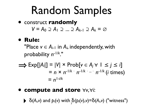## Random Samples

• construct **randomly**  *V* = *A*<sup>0</sup> ⊇ *A*<sup>1</sup> ⊇ ... ⊇ *Ak*-1 ⊇ *Ak* = ∅

#### • **Rule:**

"Place  $v \in A_{i-1}$  in  $A_i$ , independently, with probability *n*-1/*<sup>k</sup>*."

$$
\Rightarrow \text{Exp}[|A_i|] = |V| \times \text{Prob}[v \in A_j \forall 1 \le j \le i]
$$
  
=  $n \times n^{-1/k} \cdot n^{-1/k} \cdot ... \cdot n^{-1/k}$  (i times)  
=  $n^{1-i/k}$ 

• **compute and store** ∀*v*,∀*i*:

 $\blacktriangleright$   $\delta(A_i, v)$  and  $p_i(v)$  with  $\delta(p_i(v), v) = \delta(A_i, v)$  ("witness")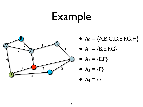# Example



•  $A_0 = \{A, B, C, D, E, F, G, H\}$ 

$$
\bullet \ \ A_1 = \{B, E, F, G\}
$$

$$
\bullet \ \ A_2 = \{E, F\}
$$

$$
\bullet \ \ A_3 = \{E\}
$$

•  $A_4 = \emptyset$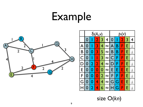## Example



|   | $\delta(A_i, v)$  |                         |                         |                          |                | $p_i(v)$       |                         |                |   |                  |
|---|-------------------|-------------------------|-------------------------|--------------------------|----------------|----------------|-------------------------|----------------|---|------------------|
|   | $\bf{0}$          |                         | $\overline{2}$          | 3                        | $\overline{4}$ | $\overline{0}$ | $\overline{\mathbf{I}}$ | $\overline{2}$ | 3 | $\boldsymbol{4}$ |
| A | O                 |                         | $\mathbf{R}$            | $\overline{\mathcal{A}}$ | $\infty$       | I A            | Β                       | Ē              | E |                  |
| B | N                 | O                       | 3 <sup>1</sup>          | 5                        | $\infty$       | Β              | Β                       | F              | E |                  |
| C | 0                 | l                       | $\mathbf{L}$            | 3 <sub>l</sub>           | $\infty$       | C              | F                       | F              | Е |                  |
| ) | O                 | $\overline{\mathbf{2}}$ | $\overline{2}$          | $\overline{4}$           | $\infty$       | D              |                         | F              | F |                  |
|   | $\bm{\mathrm{O}}$ | 0                       | 0                       | $\Omega$                 | $\infty$       | E              | E                       | F              | E |                  |
|   | 0                 | 0                       | $\bf{0}$                | 2 <sub>1</sub>           | $\infty$       | F              | F                       | Ē              | E |                  |
| G | $\mathbf \Omega$  | 0                       |                         | $\overline{\mathbf{4}}$  | $\infty$       | G              | G                       | E              | Е |                  |
|   |                   |                         | $\overline{\mathbf{4}}$ |                          | $\infty$       |                | G                       | F              | E |                  |

size O(*kn*)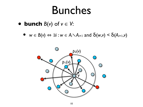### Bunches

- **bunch**  $B(v)$  of  $v \in V$ :
	- $w \in B(v) \Leftrightarrow \exists i : w \in A_i \setminus A_{i+1}$  and  $\delta(w,v) \leq \delta(A_{i+1},v)$

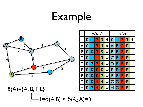## Example



 $1 = δ(A,B) < δ(A_2,A) = 3$ 11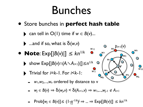### Bunches

- Store bunches in **perfect hash table**
	- ‣ can tell in O(1) time if *<sup>w</sup>* <sup>∈</sup> *<sup>B</sup>*(*v*)...
	- $\rightarrow$  ...and if so, what is  $\delta(w,v)$
- $$ 
	- ‣ show Exp[|*B*(*v*)∩(*Ai*∖*Ai*+1)|]≤*n*1/*<sup>k</sup>*
	- ‣ Trivial for *i*=*k*-1. For *i*<*k*-1:
		- *<sup>w</sup>*1,*w*2,...,*wx* ordered by distance to v
		- $w_j \in B(v) \Rightarrow \delta(w_j, v) \leq \delta(A_{j+1}, v) \Rightarrow w_1, ..., w_{j-1} \notin A_{j+1}$
		- $-$  Prob[ $w_j \in B(v)$ ] $\leq (1 p^{-1/k})^j \Rightarrow ... \Rightarrow \text{Exp}[[B(v)] \leq kn^{1/k}$